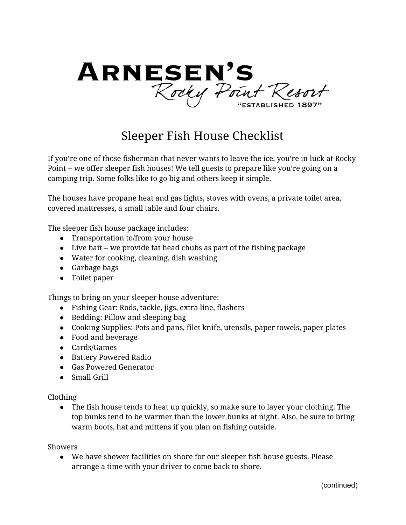

# Sleeper Fish House Checklist

If you're one of those fisherman that never wants to leave the ice, you're in luck at Rocky Point -- we offer sleeper fish houses! We tell guests to prepare like you're going on a camping trip. Some folks like to go big and others keep it simple.

The houses have propane heat and gas lights, stoves with ovens, a private toilet area, covered mattresses, a small table and four chairs.

The sleeper fish house package includes:

- Transportation to/from your house
- Live bait -- we provide fat head chubs as part of the fishing package
- Water for cooking, cleaning, dish washing
- Garbage bags
- Toilet paper

Things to bring on your sleeper house adventure:

- Fishing Gear: Rods, tackle, jigs, extra line, flashers
- Bedding: Pillow and sleeping bag
- Cooking Supplies: Pots and pans, filet knife, utensils, paper towels, paper plates
- Food and beverage
- Cards/Games
- Battery Powered Radio
- Gas Powered Generator
- Small Grill

Clothing

● The fish house tends to heat up quickly, so make sure to layer your clothing. The top bunks tend to be warmer than the lower bunks at night. Also, be sure to bring warm boots, hat and mittens if you plan on fishing outside.

Showers

● We have shower facilities on shore for our sleeper fish house guests. Please arrange a time with your driver to come back to shore.